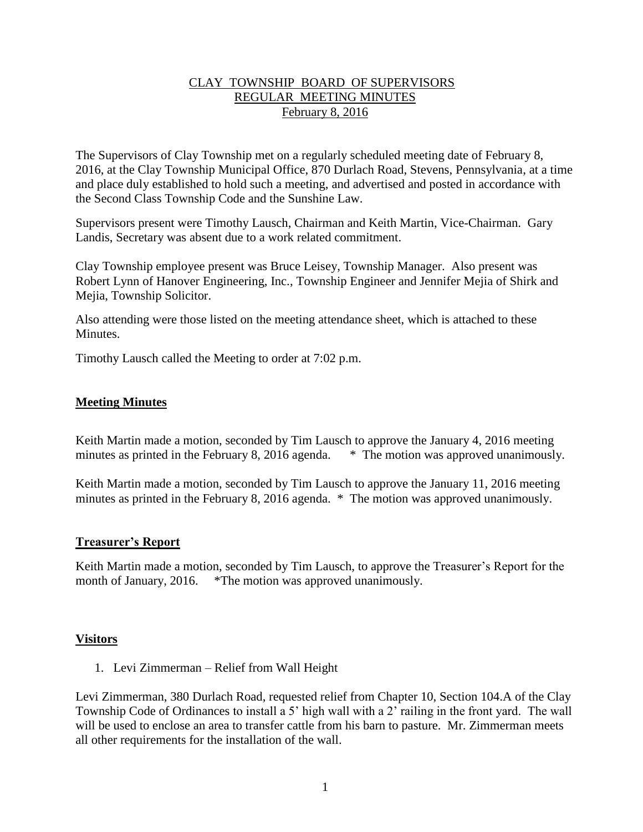## CLAY TOWNSHIP BOARD OF SUPERVISORS REGULAR MEETING MINUTES February 8, 2016

The Supervisors of Clay Township met on a regularly scheduled meeting date of February 8, 2016, at the Clay Township Municipal Office, 870 Durlach Road, Stevens, Pennsylvania, at a time and place duly established to hold such a meeting, and advertised and posted in accordance with the Second Class Township Code and the Sunshine Law.

Supervisors present were Timothy Lausch, Chairman and Keith Martin, Vice-Chairman. Gary Landis, Secretary was absent due to a work related commitment.

Clay Township employee present was Bruce Leisey, Township Manager. Also present was Robert Lynn of Hanover Engineering, Inc., Township Engineer and Jennifer Mejia of Shirk and Mejia, Township Solicitor.

Also attending were those listed on the meeting attendance sheet, which is attached to these **Minutes** 

Timothy Lausch called the Meeting to order at 7:02 p.m.

## **Meeting Minutes**

Keith Martin made a motion, seconded by Tim Lausch to approve the January 4, 2016 meeting minutes as printed in the February 8, 2016 agenda. \* The motion was approved unanimously.

Keith Martin made a motion, seconded by Tim Lausch to approve the January 11, 2016 meeting minutes as printed in the February 8, 2016 agenda. \* The motion was approved unanimously.

### **Treasurer's Report**

Keith Martin made a motion, seconded by Tim Lausch, to approve the Treasurer's Report for the month of January, 2016. \*The motion was approved unanimously.

### **Visitors**

1. Levi Zimmerman – Relief from Wall Height

Levi Zimmerman, 380 Durlach Road, requested relief from Chapter 10, Section 104.A of the Clay Township Code of Ordinances to install a 5' high wall with a 2' railing in the front yard. The wall will be used to enclose an area to transfer cattle from his barn to pasture. Mr. Zimmerman meets all other requirements for the installation of the wall.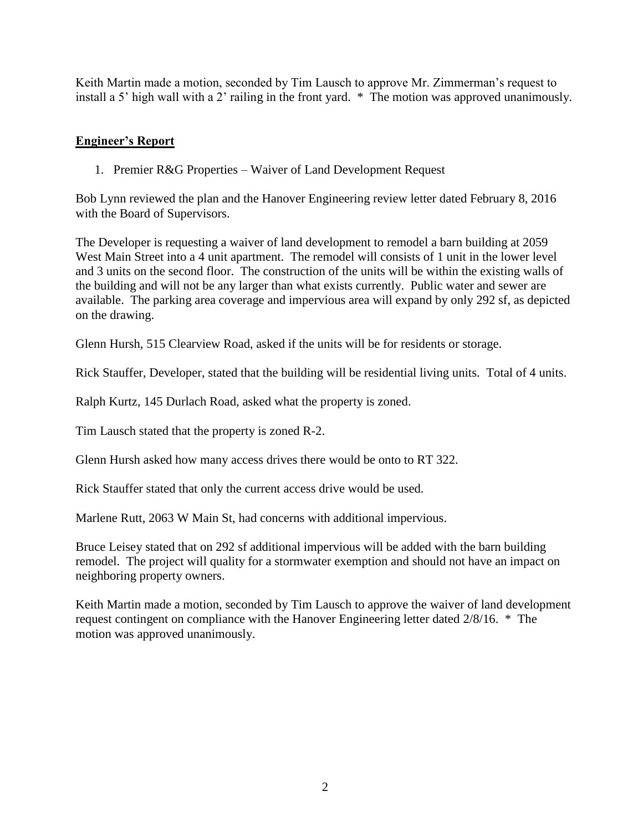Keith Martin made a motion, seconded by Tim Lausch to approve Mr. Zimmerman's request to install a 5' high wall with a 2' railing in the front yard. \* The motion was approved unanimously.

# **Engineer's Report**

1. Premier R&G Properties – Waiver of Land Development Request

Bob Lynn reviewed the plan and the Hanover Engineering review letter dated February 8, 2016 with the Board of Supervisors.

The Developer is requesting a waiver of land development to remodel a barn building at 2059 West Main Street into a 4 unit apartment. The remodel will consists of 1 unit in the lower level and 3 units on the second floor. The construction of the units will be within the existing walls of the building and will not be any larger than what exists currently. Public water and sewer are available. The parking area coverage and impervious area will expand by only 292 sf, as depicted on the drawing.

Glenn Hursh, 515 Clearview Road, asked if the units will be for residents or storage.

Rick Stauffer, Developer, stated that the building will be residential living units. Total of 4 units.

Ralph Kurtz, 145 Durlach Road, asked what the property is zoned.

Tim Lausch stated that the property is zoned R-2.

Glenn Hursh asked how many access drives there would be onto to RT 322.

Rick Stauffer stated that only the current access drive would be used.

Marlene Rutt, 2063 W Main St, had concerns with additional impervious.

Bruce Leisey stated that on 292 sf additional impervious will be added with the barn building remodel. The project will quality for a stormwater exemption and should not have an impact on neighboring property owners.

Keith Martin made a motion, seconded by Tim Lausch to approve the waiver of land development request contingent on compliance with the Hanover Engineering letter dated 2/8/16. \* The motion was approved unanimously.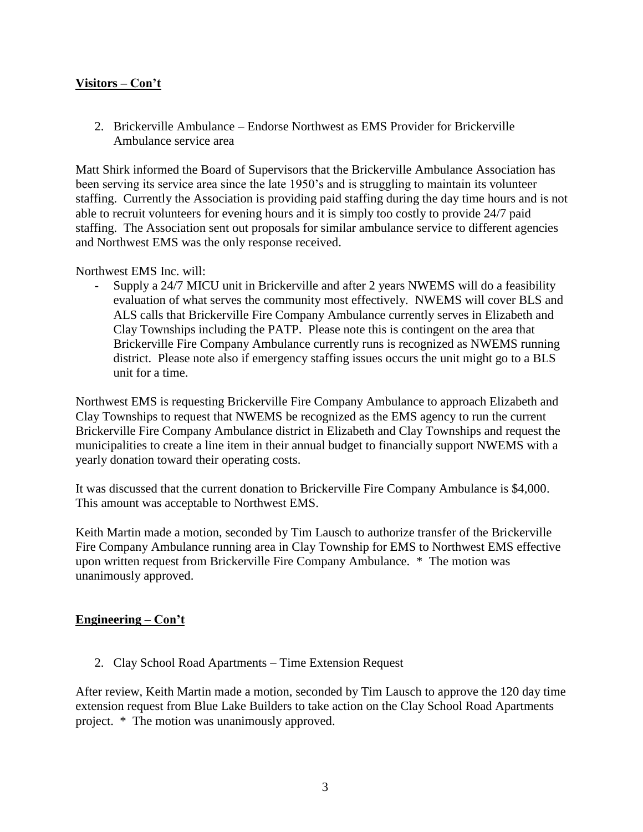## **Visitors – Con't**

2. Brickerville Ambulance – Endorse Northwest as EMS Provider for Brickerville Ambulance service area

Matt Shirk informed the Board of Supervisors that the Brickerville Ambulance Association has been serving its service area since the late 1950's and is struggling to maintain its volunteer staffing. Currently the Association is providing paid staffing during the day time hours and is not able to recruit volunteers for evening hours and it is simply too costly to provide 24/7 paid staffing. The Association sent out proposals for similar ambulance service to different agencies and Northwest EMS was the only response received.

Northwest EMS Inc. will:

- Supply a 24/7 MICU unit in Brickerville and after 2 years NWEMS will do a feasibility evaluation of what serves the community most effectively. NWEMS will cover BLS and ALS calls that Brickerville Fire Company Ambulance currently serves in Elizabeth and Clay Townships including the PATP. Please note this is contingent on the area that Brickerville Fire Company Ambulance currently runs is recognized as NWEMS running district. Please note also if emergency staffing issues occurs the unit might go to a BLS unit for a time.

Northwest EMS is requesting Brickerville Fire Company Ambulance to approach Elizabeth and Clay Townships to request that NWEMS be recognized as the EMS agency to run the current Brickerville Fire Company Ambulance district in Elizabeth and Clay Townships and request the municipalities to create a line item in their annual budget to financially support NWEMS with a yearly donation toward their operating costs.

It was discussed that the current donation to Brickerville Fire Company Ambulance is \$4,000. This amount was acceptable to Northwest EMS.

Keith Martin made a motion, seconded by Tim Lausch to authorize transfer of the Brickerville Fire Company Ambulance running area in Clay Township for EMS to Northwest EMS effective upon written request from Brickerville Fire Company Ambulance. \* The motion was unanimously approved.

### **Engineering – Con't**

2. Clay School Road Apartments – Time Extension Request

After review, Keith Martin made a motion, seconded by Tim Lausch to approve the 120 day time extension request from Blue Lake Builders to take action on the Clay School Road Apartments project. \* The motion was unanimously approved.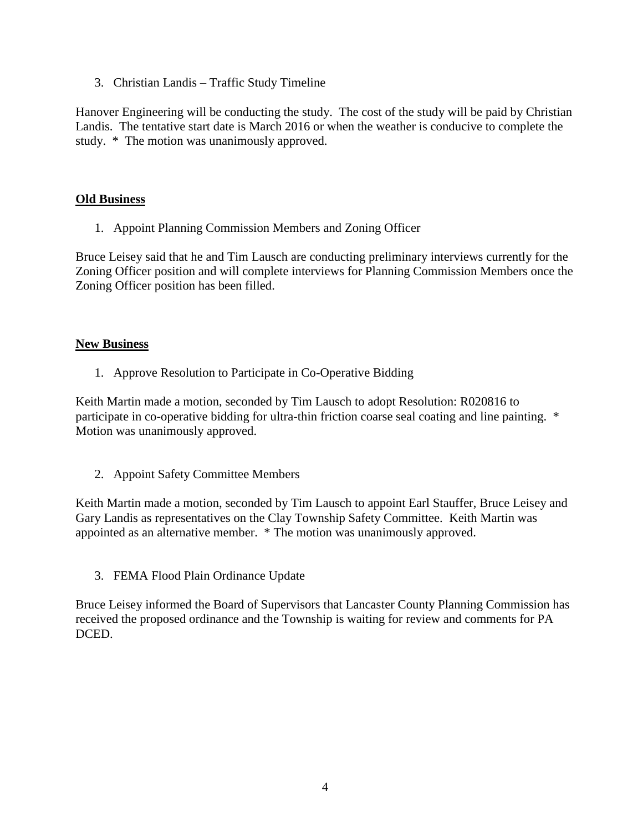3. Christian Landis – Traffic Study Timeline

Hanover Engineering will be conducting the study. The cost of the study will be paid by Christian Landis. The tentative start date is March 2016 or when the weather is conducive to complete the study. \* The motion was unanimously approved.

## **Old Business**

1. Appoint Planning Commission Members and Zoning Officer

Bruce Leisey said that he and Tim Lausch are conducting preliminary interviews currently for the Zoning Officer position and will complete interviews for Planning Commission Members once the Zoning Officer position has been filled.

### **New Business**

1. Approve Resolution to Participate in Co-Operative Bidding

Keith Martin made a motion, seconded by Tim Lausch to adopt Resolution: R020816 to participate in co-operative bidding for ultra-thin friction coarse seal coating and line painting. \* Motion was unanimously approved.

2. Appoint Safety Committee Members

Keith Martin made a motion, seconded by Tim Lausch to appoint Earl Stauffer, Bruce Leisey and Gary Landis as representatives on the Clay Township Safety Committee. Keith Martin was appointed as an alternative member. \* The motion was unanimously approved.

3. FEMA Flood Plain Ordinance Update

Bruce Leisey informed the Board of Supervisors that Lancaster County Planning Commission has received the proposed ordinance and the Township is waiting for review and comments for PA DCED.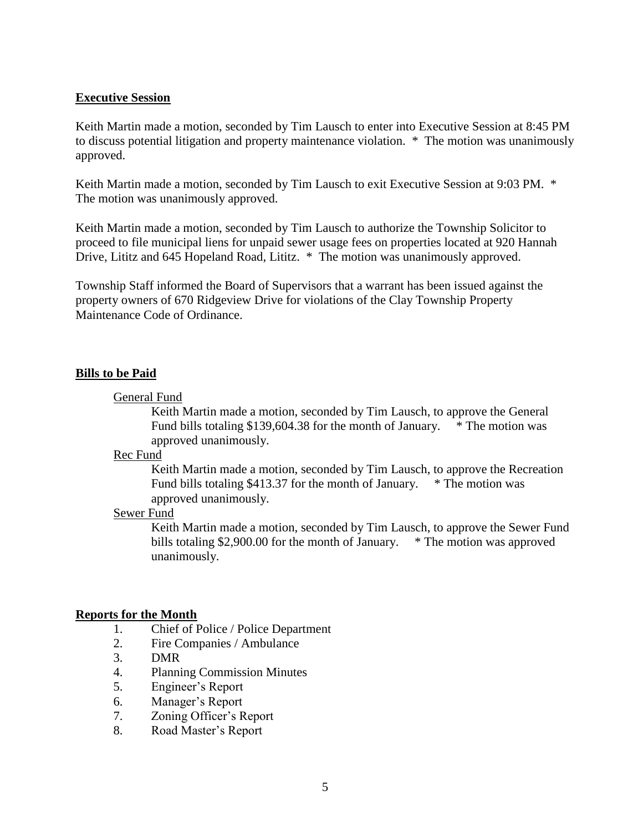#### **Executive Session**

Keith Martin made a motion, seconded by Tim Lausch to enter into Executive Session at 8:45 PM to discuss potential litigation and property maintenance violation. \* The motion was unanimously approved.

Keith Martin made a motion, seconded by Tim Lausch to exit Executive Session at 9:03 PM. \* The motion was unanimously approved.

Keith Martin made a motion, seconded by Tim Lausch to authorize the Township Solicitor to proceed to file municipal liens for unpaid sewer usage fees on properties located at 920 Hannah Drive, Lititz and 645 Hopeland Road, Lititz. \* The motion was unanimously approved.

Township Staff informed the Board of Supervisors that a warrant has been issued against the property owners of 670 Ridgeview Drive for violations of the Clay Township Property Maintenance Code of Ordinance.

#### **Bills to be Paid**

#### General Fund

Keith Martin made a motion, seconded by Tim Lausch, to approve the General Fund bills totaling \$139,604.38 for the month of January. \* The motion was approved unanimously.

#### Rec Fund

Keith Martin made a motion, seconded by Tim Lausch, to approve the Recreation Fund bills totaling \$413.37 for the month of January. \* The motion was approved unanimously.

#### Sewer Fund

Keith Martin made a motion, seconded by Tim Lausch, to approve the Sewer Fund bills totaling \$2,900.00 for the month of January. \* The motion was approved unanimously.

#### **Reports for the Month**

- 1. Chief of Police / Police Department
- 2. Fire Companies / Ambulance
- 3. DMR
- 4. Planning Commission Minutes
- 5. Engineer's Report
- 6. Manager's Report
- 7. Zoning Officer's Report
- 8. Road Master's Report